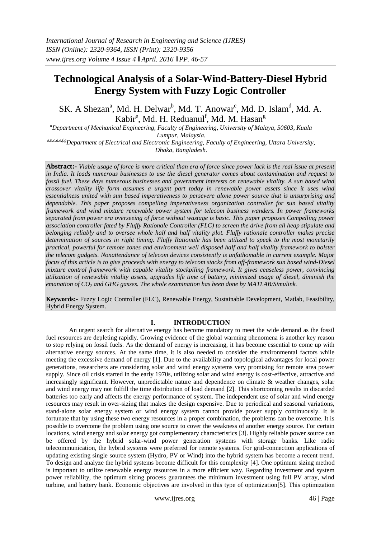# **Technological Analysis of a Solar-Wind-Battery-Diesel Hybrid Energy System with Fuzzy Logic Controller**

SK. A Shezan<sup>a</sup>, Md. H. Delwar<sup>b</sup>, Md. T. Anowar<sup>c</sup>, Md. D. Islam<sup>d</sup>, Md. A. Kabir<sup>e</sup>, Md. H. Reduanul<sup>f</sup>, Md. M. Hasan<sup>g</sup>

*<sup>a</sup>Department of Mechanical Engineering, Faculty of Engineering, University of Malaya, 50603, Kuala Lumpur, Malaysia.*

*a,b,c,d,e,f,gDepartment of Electrical and Electronic Engineering, Faculty of Engineering, Uttara University, Dhaka, Bangladesh.*

**Abstract:-** *Viable usage of force is more critical than era of force since power lack is the real issue at present in India. It leads numerous businesses to use the diesel generator comes about contamination and request to fossil fuel. These days numerous businesses and government interests on renewable vitality. A sun based wind crossover vitality life form assumes a urgent part today in renewable power assets since it uses wind essentialness united with sun based imperativeness to persevere alone power source that is unsurprising and dependable. This paper proposes compelling imperativeness organization controller for sun based vitality framework and wind mixture renewable power system for telecom business wanders. In power frameworks separated from power era overseeing of force without wastage is basic. This paper proposes Compelling power association controller fated by Fluffy Rationale Controller (FLC) to screen the drive from all heap stipulate and belonging reliably and to oversee whole half and half vitality plot. Fluffy rationale controller makes precise determination of sources in right timing. Fluffy Rationale has been utilized to speak to the most monetarily practical, powerful for remote zones and environment well disposed half and half vitality framework to bolster the telecom gadgets. Nonattendance of telecom devices consistently is unfathomable in current example. Major focus of this article is to give proceeds with energy to telecom stacks from off-framework sun based wind-Diesel mixture control framework with capable vitality stockpiling framework. It gives ceaseless power, convincing utilization of renewable vitality assets, upgrades life time of battery, minimized usage of diesel, diminish the emanation of CO<sup>2</sup> and GHG gasses. The whole examination has been done by MATLAB/Simulink.*

**Keywords:-** Fuzzy Logic Controller (FLC), Renewable Energy, Sustainable Development, Matlab, Feasibility, Hybrid Energy System.

# **I. INTRODUCTION**

An urgent search for alternative energy has become mandatory to meet the wide demand as the fossil fuel resources are depleting rapidly. Growing evidence of the global warming phenomena is another key reason to stop relying on fossil fuels. As the demand of energy is increasing, it has become essential to come up with alternative energy sources. At the same time, it is also needed to consider the environmental factors while meeting the excessive demand of energy [1]. Due to the availability and topological advantages for local power generations, researchers are considering solar and wind energy systems very promising for remote area power supply. Since oil crisis started in the early 1970s, utilizing solar and wind energy is cost-effective, attractive and increasingly significant. However, unpredictable nature and dependence on climate & weather changes, solar and wind energy may not fulfill the time distribution of load demand [2]. This shortcoming results in discarded batteries too early and affects the energy performance of system. The independent use of solar and wind energy resources may result in over-sizing that makes the design expensive. Due to periodical and seasonal variations, stand-alone solar energy system or wind energy system cannot provide power supply continuously. It is fortunate that by using these two energy resources in a proper combination, the problems can be overcome. It is possible to overcome the problem using one source to cover the weakness of another energy source. For certain locations, wind energy and solar energy got complementary characteristics [3]. Highly reliable power source can be offered by the hybrid solar-wind power generation systems with storage banks. Like radio telecommunication, the hybrid systems were preferred for remote systems. For grid-connection applications of updating existing single source system (Hydro, PV or Wind) into the hybrid system has become a recent trend. To design and analyze the hybrid systems become difficult for this complexity [4]. One optimum sizing method is important to utilize renewable energy resources in a more efficient way. Regarding investment and system power reliability, the optimum sizing process guarantees the minimum investment using full PV array, wind turbine, and battery bank. Economic objectives are involved in this type of optimization[5]. This optimization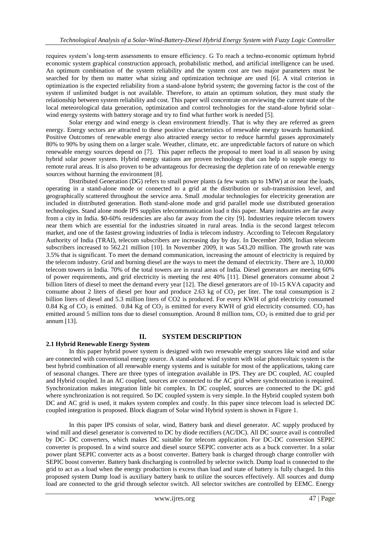requires system's long-term assessments to ensure efficiency. G To reach a techno-economic optimum hybrid economic system graphical construction approach, probabilistic method, and artificial intelligence can be used. An optimum combination of the system reliability and the system cost are two major parameters must be searched for by them no matter what sizing and optimization technique are used [6]. A vital criterion in optimization is the expected reliability from a stand-alone hybrid system; the governing factor is the cost of the system if unlimited budget is not available. Therefore, to attain an optimum solution, they must study the relationship between system reliability and cost. This paper will concentrate on reviewing the current state of the local meteorological data generation, optimization and control technologies for the stand-alone hybrid solar– wind energy systems with battery storage and try to find what further work is needed [5].

Solar energy and wind energy is clean environment friendly. That is why they are referred as green energy. Energy sectors are attracted to these positive characteristics of renewable energy towards humankind. Positive Outcomes of renewable energy also attracted energy sector to reduce harmful gasses approximately 80% to 90% by using them on a larger scale. Weather, climate, etc. are unpredictable factors of nature on which renewable energy sources depend on [7]. This paper reflects the proposal to meet load in all season by using hybrid solar power system. Hybrid energy stations are proven technology that can help to supple energy to remote rural areas. It is also proven to be advantageous for decreasing the depletion rate of on renewable energy sources without harming the environment [8].

Distributed Generation (DG) refers to small power plants (a few watts up to 1MW) at or near the loads, operating in a stand-alone mode or connected to a grid at the distribution or sub-transmission level, and geographically scattered throughout the service area. Small .modular technologies for electricity generation are included in distributed generation. Both stand-alone mode and grid parallel mode use distributed generation technologies. Stand alone mode IPS supplies telecommunication load n this paper. Many industries are far away from a city in India. \$0-60% residencies are also far away from the city [9]. Industries require telecom towers near them which are essential for the industries situated in rural areas. India is the second largest telecom market, and one of the fastest growing industries of India is telecom industry. According to Telecom Regulatory Authority of India (TRAI), telecom subscribers are increasing day by day. In December 2009, Indian telecom subscribers increased to 562.21 million [10]. In November 2009, it was 543.20 million. The growth rate was 3.5% that is significant. To meet the demand communication, increasing the amount of electricity is required by the telecom industry. Grid and burning diesel are the ways to meet the demand of electricity. There are 3, 10,000 telecom towers in India. 70% of the total towers are in rural areas of India. Diesel generators are meeting 60% of power requirements, and grid electricity is meeting the rest 40% [11]. Diesel generators consume about 2 billion liters of diesel to meet the demand every year [12]. The diesel generators are of 10-15 KVA capacity and consume about 2 liters of diesel per hour and produce 2.63 kg of  $CO<sub>2</sub>$  per liter. The total consumption is 2 billion liters of diesel and 5.3 million liters of CO2 is produced. For every KWH of grid electricity consumed 0.84 Kg of  $CO_2$  is emitted. 0.84 Kg of  $CO_2$  is emitted for every KWH of grid electricity consumed.  $CO_2$  has emitted around 5 million tons due to diesel consumption. Around 8 million tons,  $CO<sub>2</sub>$  is emitted due to grid per annum [13].

# **II. SYSTEM DESCRIPTION**

### **2.1 Hybrid Renewable Energy System**

In this paper hybrid power system is designed with two renewable energy sources like wind and solar are connected with conventional energy source. A stand-alone wind system with solar photovoltaic system is the best hybrid combination of all renewable energy systems and is suitable for most of the applications, taking care of seasonal changes. There are three types of integration available in IPS. They are DC coupled, AC coupled and Hybrid coupled. In an AC coupled, sources are connected to the AC grid where synchronization is required. Synchronization makes integration little bit complex. In DC coupled, sources are connected to the DC grid where synchronization is not required. So DC coupled system is very simple. In the Hybrid coupled system both DC and AC grid is used, it makes system complex and costly. In this paper since telecom load is selected DC coupled integration is proposed. Block diagram of Solar wind Hybrid system is shown in Figure 1.

In this paper IPS consists of solar, wind, Battery bank and diesel generator. AC supply produced by wind mill and diesel generator is converted to DC by diode rectifiers (AC/DC). All DC source avail is controlled by DC- DC converters, which makes DC suitable for telecom application. For DC-DC conversion SEPIC converter is proposed. In a wind source and diesel source SEPIC converter acts as a buck converter. In a solar power plant SEPIC converter acts as a boost converter. Battery bank is charged through charge controller with SEPIC boost converter. Battery bank discharging is controlled by selector switch. Dump load is connected to the grid to act as a load when the energy production is excess than load and state of battery is fully charged. In this proposed system Dump load is auxiliary battery bank to utilize the sources effectively. All sources and dump load are connected to the grid through selector switch. All selector switches are controlled by EEMC. Energy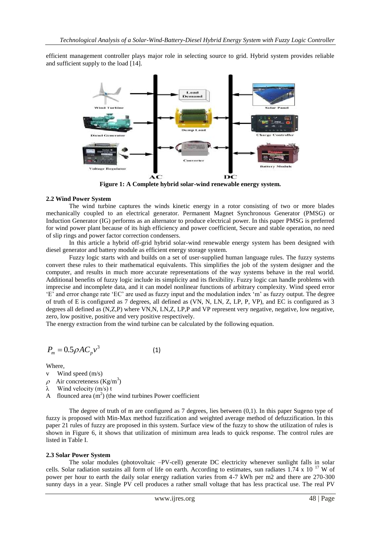efficient management controller plays major role in selecting source to grid. Hybrid system provides reliable and sufficient supply to the load [14].



**Figure 1: A Complete hybrid solar-wind renewable energy system.**

#### **2.2 Wind Power System**

The wind turbine captures the winds kinetic energy in a rotor consisting of two or more blades mechanically coupled to an electrical generator. Permanent Magnet Synchronous Generator (PMSG) or Induction Generator (IG) performs as an alternator to produce electrical power. In this paper PMSG is preferred for wind power plant because of its high efficiency and power coefficient, Secure and stable operation, no need of slip rings and power factor correction condensers.

In this article a hybrid off-grid hybrid solar-wind renewable energy system has been designed with diesel generator and battery module as efficient energy storage system.

Fuzzy logic starts with and builds on a set of user-supplied human language rules. The fuzzy systems convert these rules to their mathematical equivalents. This simplifies the job of the system designer and the computer, and results in much more accurate representations of the way systems behave in the real world. Additional benefits of fuzzy logic include its simplicity and its flexibility. Fuzzy logic can handle problems with imprecise and incomplete data, and it can model nonlinear functions of arbitrary complexity. Wind speed error 'E' and error change rate 'EC' are used as fuzzy input and the modulation index 'm' as fuzzy output. The degree of truth of E is configured as 7 degrees, all defined as (VN, N, LN, Z, LP, P, VP), and EC is configured as 3 degrees all defined as (N,Z,P) where VN,N, LN,Z, LP,P and VP represent very negative, negative, low negative, zero, low positive, positive and very positive respectively.

The energy extraction from the wind turbine can be calculated by the following equation.

$$
P_m = 0.5 \rho A C_p v^3 \tag{1}
$$

Where,

- v Wind speed (m/s)
- $\rho$  Air concreteness (Kg/m<sup>3</sup>)
- λ Wind velocity (m/s) t
- A flounced area  $(m^2)$  (the wind turbines Power coefficient

The degree of truth of m are configured as 7 degrees, lies between (0,1). In this paper Sugeno type of fuzzy is proposed with Min-Max method fuzzification and weighted average method of defuzzification. In this paper 21 rules of fuzzy are proposed in this system. Surface view of the fuzzy to show the utilization of rules is shown in Figure 6, it shows that utilization of minimum area leads to quick response. The control rules are listed in Table I.

#### **2.3 Solar Power System**

The solar modules (photovoltaic –PV-cell) generate DC electricity whenever sunlight falls in solar cells. Solar radiation sustains all form of life on earth. According to estimates, sun radiates  $1.74 \times 10^{-17}$  W of power per hour to earth the daily solar energy radiation varies from 4-7 kWh per m2 and there are 270-300 sunny days in a year. Single PV cell produces a rather small voltage that has less practical use. The real PV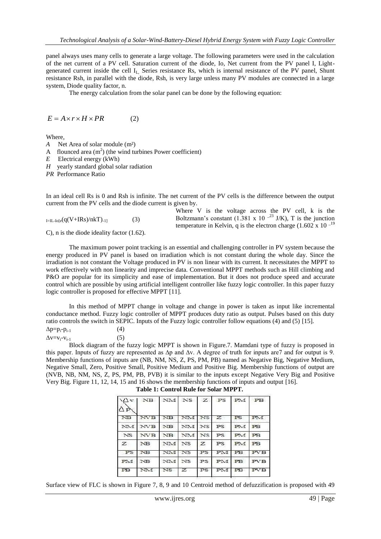panel always uses many cells to generate a large voltage. The following parameters were used in the calculation of the net current of a PV cell. Saturation current of the diode, Io, Net current from the PV panel I, Lightgenerated current inside the cell  $I<sub>L</sub>$  Series resistance Rs, which is internal resistance of the PV panel, Shunt resistance Rsh, in parallel with the diode, Rsh, is very large unless many PV modules are connected in a large system, Diode quality factor, n.

The energy calculation from the solar panel can be done by the following equation:

$$
E = A \times r \times H \times PR \tag{2}
$$

Where,

- *A* Net Area of solar module (m<sup>2</sup>)
- A flounced area  $(m^2)$  (the wind turbines Power coefficient)
- *E* Electrical energy (kWh)
- *H* yearly standard global solar radiation

*PR* Performance Ratio

In an ideal cell Rs is 0 and Rsh is infinite. The net current of the PV cells is the difference between the output current from the PV cells and the diode current is given by.

|                                          |     | Where V is the voltage across the PV cell, k is the                       |
|------------------------------------------|-----|---------------------------------------------------------------------------|
| $_{\text{I=IL-Iofe}}(q(V+IRs)/nkT)_{-1}$ | (3) | Boltzmann's constant (1.381 x 10 <sup>-23</sup> J/K), T is the junction   |
|                                          |     | temperature in Kelvin, q is the electron charge $(1.602 \times 10^{-19})$ |

C), n is the diode ideality factor (1.62).

The maximum power point tracking is an essential and challenging controller in PV system because the energy produced in PV panel is based on irradiation which is not constant during the whole day. Since the irradiation is not constant the Voltage produced in PV is non linear with its current. It necessitates the MPPT to work effectively with non linearity and imprecise data. Conventional MPPT methods such as Hill climbing and P&O are popular for its simplicity and ease of implementation. But it does not produce speed and accurate control which are possible by using artificial intelligent controller like fuzzy logic controller. In this paper fuzzy logic controller is proposed for effective MPPT [11].

In this method of MPPT change in voltage and change in power is taken as input like incremental conductance method. Fuzzy logic controller of MPPT produces duty ratio as output. Pulses based on this duty ratio controls the switch in SEPIC. Inputs of the Fuzzy logic controller follow equations (4) and (5) [15].

| $\Delta p = p_i - p_{i-1}$ | (4) |
|----------------------------|-----|
| $\Delta v = v_i - v_{i-1}$ | (5) |

Block diagram of the fuzzy logic MPPT is shown in Figure.7. Mamdani type of fuzzy is proposed in this paper. Inputs of fuzzy are represented as ∆p and ∆v. A degree of truth for inputs are7 and for output is 9. Membership functions of inputs are (NB, NM, NS, Z, PS, PM, PB) named as Negative Big, Negative Medium, Negative Small, Zero, Positive Small, Positive Medium and Positive Big. Membership functions of output are (NVB, NB, NM, NS, Z, PS, PM, PB, PVB) it is similar to the inputs except Negative Very Big and Positive Very Big. Figure 11, 12, 14, 15 and 16 shows the membership functions of inputs and output [16].

| PM PB           |                 |            |              |                 | $\Delta v$ NB $\Delta w$ NM $Z$ PS | ΔÀ        |
|-----------------|-----------------|------------|--------------|-----------------|------------------------------------|-----------|
| PM <sub>1</sub> | z<br>PS         | <b>INS</b> | NM.          | <b>NB</b>       | NVB.                               | <b>NB</b> |
| <b>PB</b>       | PS.<br>PM       |            | NM NS        | <b>NB</b>       | <b>NVB</b>                         | NM        |
| <b>PB</b>       | <b>PS</b><br>PM |            | NM NS        | <b>NB</b>       | <b>NVB</b>                         | NS.       |
| <b>PB</b>       | PM<br>PS        | z          | <b>NS</b>    | NM              | NB                                 | z         |
| <b>PVB</b>      | PM<br><b>PB</b> | PS         | <b>NS</b>    | NM <sup>1</sup> | <b>NB</b>                          | PS        |
| <b>PVB</b>      | PM PB           | PS         |              | NM NS           |                                    | PM NB     |
| PVB             | PM PB           | PS         | $\mathbb{Z}$ | NS.             | NM                                 | <b>PB</b> |
|                 |                 |            |              |                 |                                    |           |

| Table 1: Control Rule for Solar MPPT. |  |  |  |
|---------------------------------------|--|--|--|

Surface view of FLC is shown in Figure 7, 8, 9 and 10 Centroid method of defuzzification is proposed with 49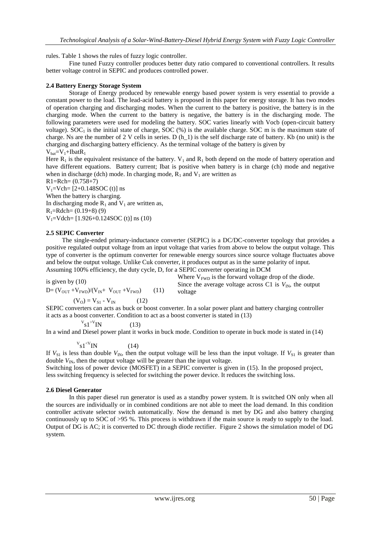rules. Table 1 shows the rules of fuzzy logic controller.

Fine tuned Fuzzy controller produces better duty ratio compared to conventional controllers. It results better voltage control in SEPIC and produces controlled power.

## **2.4 Battery Energy Storage System**

Storage of Energy produced by renewable energy based power system is very essential to provide a constant power to the load. The lead-acid battery is proposed in this paper for energy storage. It has two modes of operation charging and discharging modes. When the current to the battery is positive, the battery is in the charging mode. When the current to the battery is negative, the battery is in the discharging mode. The following parameters were used for modeling the battery. SOC varies linearly with Vocb (open-circuit battery voltage).  $SOC<sub>1</sub>$  is the initial state of charge,  $SOC$  (%) is the available charge. SOC m is the maximum state of charge. Ns are the number of 2 V cells in series. D  $(h_1)$  is the self discharge rate of battery. Kb (no unit) is the charging and discharging battery efficiency. As the terminal voltage of the battery is given by

 $V_{\text{bat}}=V_1+I\text{bat}R_1$ 

Here  $R_1$  is the equivalent resistance of the battery.  $V_1$  and  $R_1$  both depend on the mode of battery operation and have different equations. Battery current; Ibat is positive when battery is in charge (ch) mode and negative when in discharge (dch) mode. In charging mode,  $R_1$  and  $V_1$  are written as

 $R1 = Rch = (0.758 + 7)$ 

 $V_1=Vch=[2+0.148SOC(t)]$  ns When the battery is charging. In discharging mode  $R_1$  and  $V_1$  are written as,  $R_1 =$ Rdch=  $(0.19+8)$  (9)  $V_1=V$ dch= [1.926+0.124SOC (t)] ns (10)

### **2.5 SEPIC Converter**

 The single-ended primary-inductance converter (SEPIC) is a DC/DC-converter topology that provides a positive regulated output voltage from an input voltage that varies from above to below the output voltage. This type of converter is the optimum converter for renewable energy sources since source voltage fluctuates above and below the output voltage. Unlike Cuk converter, it produces output as in the same polarity of input. Assuming 100% efficiency, the duty cycle, D, for a SEPIC converter operating in DCM

\n is given by (10)  
\n We have 
$$
V_{\text{FWD}}
$$
 is the forward voltage drop of the diode.  
\n Since the average voltage across C1 is  $V_{\text{IN}}$ , the output voltage across C1 is  $V_{\text{IN}}$ , the output voltage across C1 is  $V_{\text{IV}}$ , the output voltage from the total of the object.

$$
(V_O) = V_{S1} - V_{IN}
$$
 (12)

SEPIC converters can acts as buck or boost converter. In a solar power plant and battery charging controller it acts as a boost converter. Condition to act as a boost converter is stated in (13)

$$
v_{\rm s1}^{\rm v}{}^{\rm N}{}^{\rm IN} \tag{13}
$$

In a wind and Diesel power plant it works in buck mode. Condition to operate in buck mode is stated in (14)

$$
v_{\rm s1}^{\rm v} \text{N} \tag{14}
$$

If  $V_{S1}$  is less than double  $V_{IN}$ , then the output voltage will be less than the input voltage. If  $V_{S1}$  is greater than double  $V_{\text{IN}}$ , then the output voltage will be greater than the input voltage.

Switching loss of power device (MOSFET) in a SEPIC converter is given in (15). In the proposed project, less switching frequency is selected for switching the power device. It reduces the switching loss.

### **2.6 Diesel Generator**

In this paper diesel run generator is used as a standby power system. It is switched ON only when all the sources are individually or in combined conditions are not able to meet the load demand. In this condition controller activate selector switch automatically. Now the demand is met by DG and also battery charging continuously up to SOC of >95 %. This process is withdrawn if the main source is ready to supply to the load. Output of DG is AC; it is converted to DC through diode rectifier. Figure 2 shows the simulation model of DG system.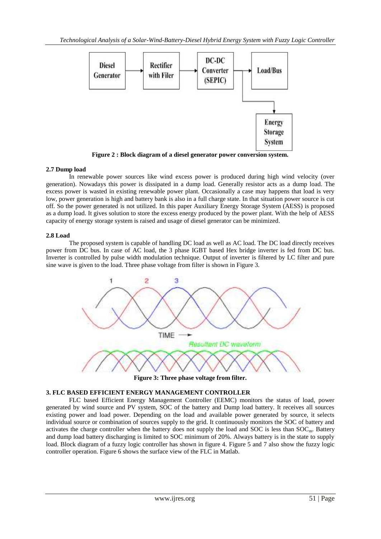

**Figure 2 : Block diagram of a diesel generator power conversion system.**

# **2.7 Dump load**

In renewable power sources like wind excess power is produced during high wind velocity (over generation). Nowadays this power is dissipated in a dump load. Generally resistor acts as a dump load. The excess power is wasted in existing renewable power plant. Occasionally a case may happens that load is very low, power generation is high and battery bank is also in a full charge state. In that situation power source is cut off. So the power generated is not utilized. In this paper Auxiliary Energy Storage System (AESS) is proposed as a dump load. It gives solution to store the excess energy produced by the power plant. With the help of AESS capacity of energy storage system is raised and usage of diesel generator can be minimized.

# **2.8 Load**

The proposed system is capable of handling DC load as well as AC load. The DC load directly receives power from DC bus. In case of AC load, the 3 phase IGBT based Hex bridge inverter is fed from DC bus. Inverter is controlled by pulse width modulation technique. Output of inverter is filtered by LC filter and pure sine wave is given to the load. Three phase voltage from filter is shown in Figure 3.



**Figure 3: Three phase voltage from filter.**

# **3. FLC BASED EFFICIENT ENERGY MANAGEMENT CONTROLLER**

FLC based Efficient Energy Management Controller (EEMC) monitors the status of load, power generated by wind source and PV system, SOC of the battery and Dump load battery. It receives all sources existing power and load power. Depending on the load and available power generated by source, it selects individual source or combination of sources supply to the grid. It continuously monitors the SOC of battery and activates the charge controller when the battery does not supply the load and SOC is less than  $SOC_m$ . Battery and dump load battery discharging is limited to SOC minimum of 20%. Always battery is in the state to supply load. Block diagram of a fuzzy logic controller has shown in figure 4. Figure 5 and 7 also show the fuzzy logic controller operation. Figure 6 shows the surface view of the FLC in Matlab.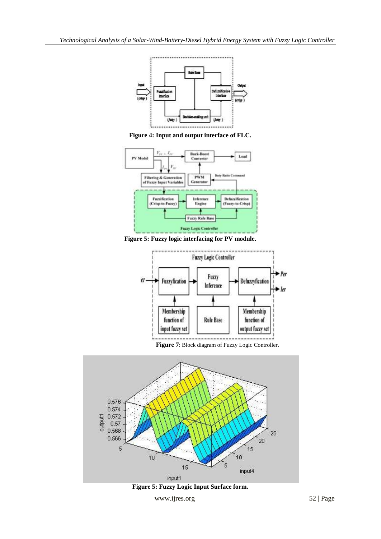

**Figure 4: Input and output interface of FLC.**



**Figure 5: Fuzzy logic interfacing for PV module.**



 **Figure 7**: Block diagram of Fuzzy Logic Controller.



**Figure 5: Fuzzy Logic Input Surface form.**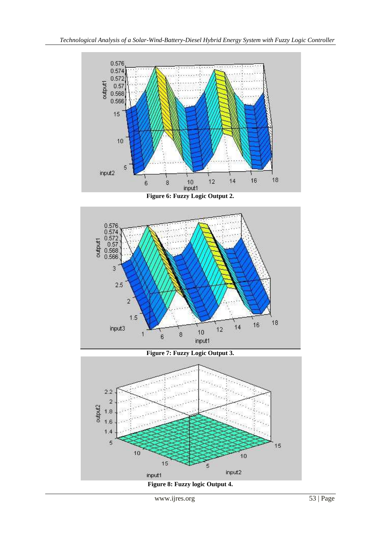

**Figure 6: Fuzzy Logic Output 2.**



**Figure 7: Fuzzy Logic Output 3.**

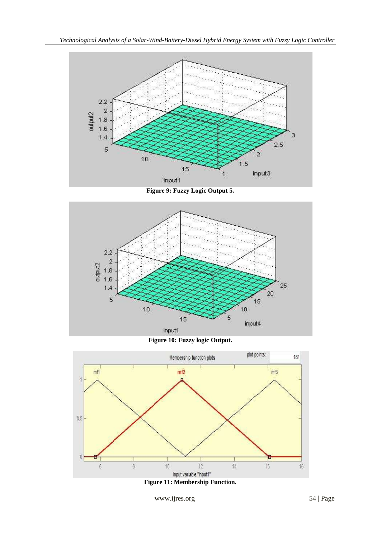

**Figure 9: Fuzzy Logic Output 5.**



**Figure 10: Fuzzy logic Output.**



www.ijres.org 54 | Page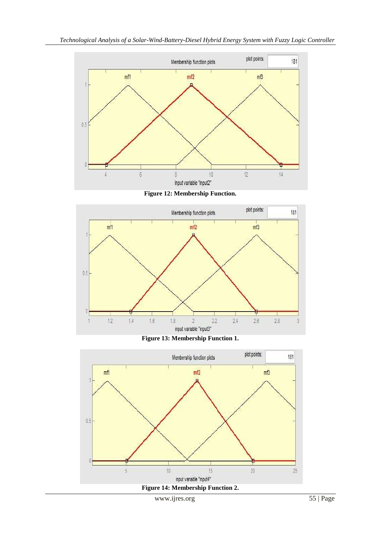

**Figure 12: Membership Function.**







www.ijres.org 55 | Page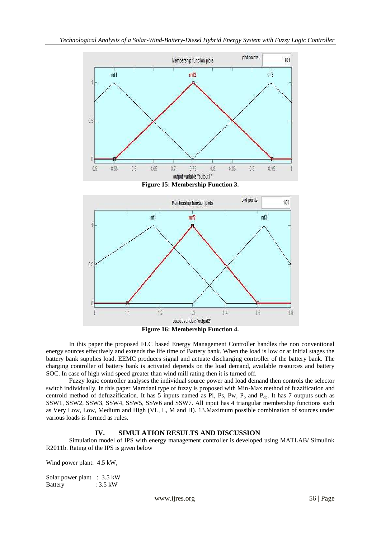





In this paper the proposed FLC based Energy Management Controller handles the non conventional energy sources effectively and extends the life time of Battery bank. When the load is low or at initial stages the battery bank supplies load. EEMC produces signal and actuate discharging controller of the battery bank. The charging controller of battery bank is activated depends on the load demand, available resources and battery SOC. In case of high wind speed greater than wind mill rating then it is turned off.

Fuzzy logic controller analyses the individual source power and load demand then controls the selector switch individually. In this paper Mamdani type of fuzzy is proposed with Min-Max method of fuzzification and centroid method of defuzzification. It has 5 inputs named as Pl, Ps, Pw,  $P_b$  and  $P_{db}$ . It has 7 outputs such as SSW1, SSW2, SSW3, SSW4, SSW5, SSW6 and SSW7. All input has 4 triangular membership functions such as Very Low, Low, Medium and High (VL, L, M and H). 13.Maximum possible combination of sources under various loads is formed as rules.

# **IV. SIMULATION RESULTS AND DISCUSSION**

Simulation model of IPS with energy management controller is developed using MATLAB/ Simulink R2011b. Rating of the IPS is given below

Wind power plant: 4.5 kW,

| Solar power plant : 3.5 kW |          |
|----------------------------|----------|
| <b>Battery</b>             | : 3.5 kW |